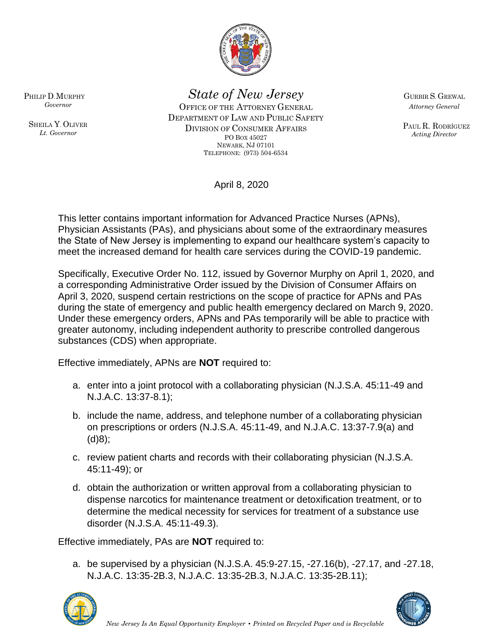

*State of New Jersey*

OFFICE OF THE ATTORNEY GENERAL DEPARTMENT OF LAW AND PUBLIC SAFETY DIVISION OF CONSUMER AFFAIRS PO BOX 45027 NEWARK, NJ 07101 TELEPHONE: (973) 504-6534

GURBIR S. GREWAL *Attorney General*

PAUL R. RODRÍGUEZ *Acting Director*

April 8, 2020

This letter contains important information for Advanced Practice Nurses (APNs), Physician Assistants (PAs), and physicians about some of the extraordinary measures the State of New Jersey is implementing to expand our healthcare system's capacity to meet the increased demand for health care services during the COVID-19 pandemic.

Specifically, Executive Order No. 112, issued by Governor Murphy on April 1, 2020, and a corresponding Administrative Order issued by the Division of Consumer Affairs on April 3, 2020, suspend certain restrictions on the scope of practice for APNs and PAs during the state of emergency and public health emergency declared on March 9, 2020. Under these emergency orders, APNs and PAs temporarily will be able to practice with greater autonomy, including independent authority to prescribe controlled dangerous substances (CDS) when appropriate.

Effective immediately, APNs are **NOT** required to:

- a. enter into a joint protocol with a collaborating physician (N.J.S.A. 45:11-49 and N.J.A.C. 13:37-8.1);
- b. include the name, address, and telephone number of a collaborating physician on prescriptions or orders (N.J.S.A. 45:11-49, and N.J.A.C. 13:37-7.9(a) and (d)8);
- c. review patient charts and records with their collaborating physician (N.J.S.A. 45:11-49); or
- d. obtain the authorization or written approval from a collaborating physician to dispense narcotics for maintenance treatment or detoxification treatment, or to determine the medical necessity for services for treatment of a substance use disorder (N.J.S.A. 45:11-49.3).

Effective immediately, PAs are **NOT** required to:

a. be supervised by a physician (N.J.S.A. 45:9-27.15, -27.16(b), -27.17, and -27.18, N.J.A.C. 13:35-2B.3, N.J.A.C. 13:35-2B.3, N.J.A.C. 13:35-2B.11);





PHILIP D.MURPHY *Governor*

SHEILA Y. OLIVER *Lt. Governor*